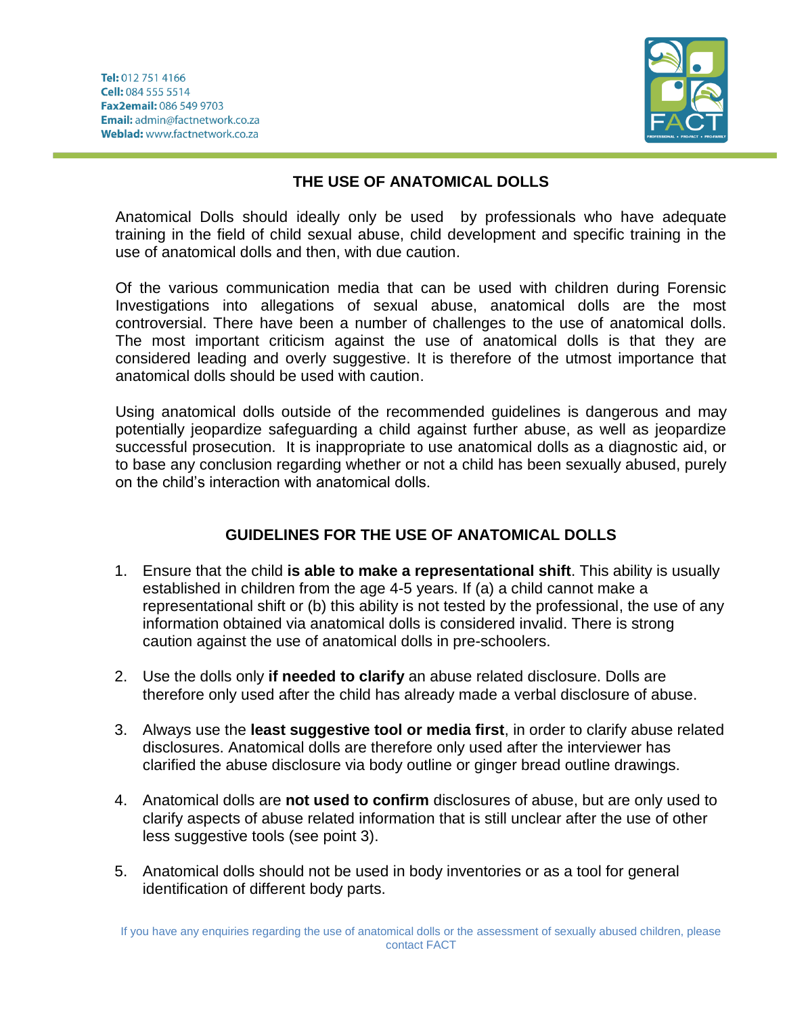

## **THE USE OF ANATOMICAL DOLLS**

Anatomical Dolls should ideally only be used by professionals who have adequate training in the field of child sexual abuse, child development and specific training in the use of anatomical dolls and then, with due caution.

Of the various communication media that can be used with children during Forensic Investigations into allegations of sexual abuse, anatomical dolls are the most controversial. There have been a number of challenges to the use of anatomical dolls. The most important criticism against the use of anatomical dolls is that they are considered leading and overly suggestive. It is therefore of the utmost importance that anatomical dolls should be used with caution.

Using anatomical dolls outside of the recommended guidelines is dangerous and may potentially jeopardize safeguarding a child against further abuse, as well as jeopardize successful prosecution. It is inappropriate to use anatomical dolls as a diagnostic aid, or to base any conclusion regarding whether or not a child has been sexually abused, purely on the child's interaction with anatomical dolls.

## **GUIDELINES FOR THE USE OF ANATOMICAL DOLLS**

- 1. Ensure that the child **is able to make a representational shift**. This ability is usually established in children from the age 4-5 years. If (a) a child cannot make a representational shift or (b) this ability is not tested by the professional, the use of any information obtained via anatomical dolls is considered invalid. There is strong caution against the use of anatomical dolls in pre-schoolers.
- 2. Use the dolls only **if needed to clarify** an abuse related disclosure. Dolls are therefore only used after the child has already made a verbal disclosure of abuse.
- 3. Always use the **least suggestive tool or media first**, in order to clarify abuse related disclosures. Anatomical dolls are therefore only used after the interviewer has clarified the abuse disclosure via body outline or ginger bread outline drawings.
- 4. Anatomical dolls are **not used to confirm** disclosures of abuse, but are only used to clarify aspects of abuse related information that is still unclear after the use of other less suggestive tools (see point 3).
- 5. Anatomical dolls should not be used in body inventories or as a tool for general identification of different body parts.